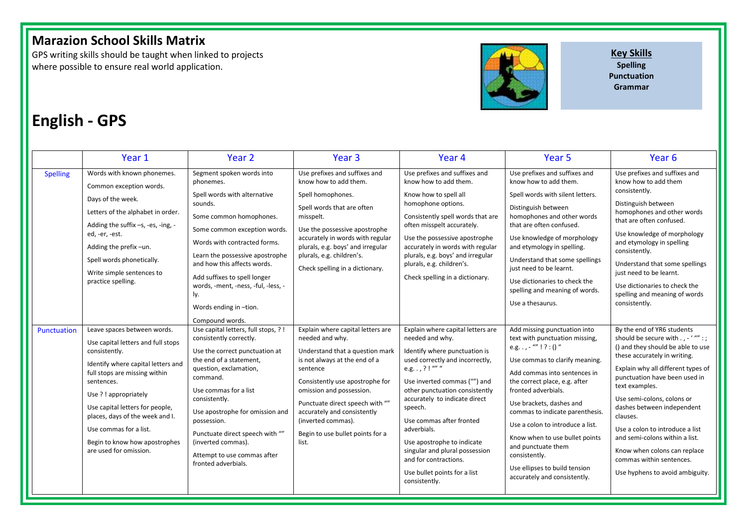## **Marazion School Skills Matrix**

GPS writing skills should be taught when linked to projects where possible to ensure real world application.



**Key Skills Spelling Punctuation Grammar**

# **English - GPS**

|                 | Year 1                                                                                                                                                                                                                                                                                                                                                      | Year <sub>2</sub>                                                                                                                                                                                                                                                                                                                                                            | Year <sub>3</sub>                                                                                                                                                                                                                                                                                                                        | Year <sub>4</sub>                                                                                                                                                                                                                                                                                                                                                                                                                                | Year <sub>5</sub>                                                                                                                                                                                                                                                                                                                                                                                                                                                 | Year <sub>6</sub>                                                                                                                                                                                                                                                                                                                                                                                                                                                        |
|-----------------|-------------------------------------------------------------------------------------------------------------------------------------------------------------------------------------------------------------------------------------------------------------------------------------------------------------------------------------------------------------|------------------------------------------------------------------------------------------------------------------------------------------------------------------------------------------------------------------------------------------------------------------------------------------------------------------------------------------------------------------------------|------------------------------------------------------------------------------------------------------------------------------------------------------------------------------------------------------------------------------------------------------------------------------------------------------------------------------------------|--------------------------------------------------------------------------------------------------------------------------------------------------------------------------------------------------------------------------------------------------------------------------------------------------------------------------------------------------------------------------------------------------------------------------------------------------|-------------------------------------------------------------------------------------------------------------------------------------------------------------------------------------------------------------------------------------------------------------------------------------------------------------------------------------------------------------------------------------------------------------------------------------------------------------------|--------------------------------------------------------------------------------------------------------------------------------------------------------------------------------------------------------------------------------------------------------------------------------------------------------------------------------------------------------------------------------------------------------------------------------------------------------------------------|
| <b>Spelling</b> | Words with known phonemes.<br>Common exception words.<br>Days of the week.<br>Letters of the alphabet in order.<br>Adding the suffix -s, -es, -ing, -<br>ed, -er, -est.<br>Adding the prefix-un.<br>Spell words phonetically.<br>Write simple sentences to<br>practice spelling.                                                                            | Segment spoken words into<br>phonemes.<br>Spell words with alternative<br>sounds.<br>Some common homophones.<br>Some common exception words.<br>Words with contracted forms.<br>Learn the possessive apostrophe<br>and how this affects words.<br>Add suffixes to spell longer<br>words, -ment, -ness, -ful, -less, -<br>ly.<br>Words ending in -tion.<br>Compound words.    | Use prefixes and suffixes and<br>know how to add them.<br>Spell homophones.<br>Spell words that are often<br>misspelt.<br>Use the possessive apostrophe<br>accurately in words with regular<br>plurals, e.g. boys' and irregular<br>plurals, e.g. children's.<br>Check spelling in a dictionary.                                         | Use prefixes and suffixes and<br>know how to add them.<br>Know how to spell all<br>homophone options.<br>Consistently spell words that are<br>often misspelt accurately.<br>Use the possessive apostrophe<br>accurately in words with regular<br>plurals, e.g. boys' and irregular<br>plurals, e.g. children's.<br>Check spelling in a dictionary.                                                                                               | Use prefixes and suffixes and<br>know how to add them.<br>Spell words with silent letters.<br>Distinguish between<br>homophones and other words<br>that are often confused.<br>Use knowledge of morphology<br>and etymology in spelling.<br>Understand that some spellings<br>just need to be learnt.<br>Use dictionaries to check the<br>spelling and meaning of words.<br>Use a thesaurus.                                                                      | Use prefixes and suffixes and<br>know how to add them<br>consistently.<br>Distinguish between<br>homophones and other words<br>that are often confused.<br>Use knowledge of morphology<br>and etymology in spelling<br>consistently.<br>Understand that some spellings<br>just need to be learnt.<br>Use dictionaries to check the<br>spelling and meaning of words<br>consistently.                                                                                     |
| Punctuation     | Leave spaces between words.<br>Use capital letters and full stops<br>consistently.<br>Identify where capital letters and<br>full stops are missing within<br>sentences.<br>Use ? ! appropriately<br>Use capital letters for people,<br>places, days of the week and I.<br>Use commas for a list.<br>Begin to know how apostrophes<br>are used for omission. | Use capital letters, full stops, ?!<br>consistently correctly.<br>Use the correct punctuation at<br>the end of a statement,<br>question, exclamation,<br>command.<br>Use commas for a list<br>consistently.<br>Use apostrophe for omission and<br>possession.<br>Punctuate direct speech with ""<br>(inverted commas).<br>Attempt to use commas after<br>fronted adverbials. | Explain where capital letters are<br>needed and why.<br>Understand that a question mark<br>is not always at the end of a<br>sentence<br>Consistently use apostrophe for<br>omission and possession.<br>Punctuate direct speech with ""<br>accurately and consistently<br>(inverted commas).<br>Begin to use bullet points for a<br>list. | Explain where capital letters are<br>needed and why.<br>Identify where punctuation is<br>used correctly and incorrectly,<br>e.g. . , ? ! "" "<br>Use inverted commas ("") and<br>other punctuation consistently<br>accurately to indicate direct<br>speech.<br>Use commas after fronted<br>adverbials.<br>Use apostrophe to indicate<br>singular and plural possession<br>and for contractions.<br>Use bullet points for a list<br>consistently. | Add missing punctuation into<br>text with punctuation missing,<br>e.g. $, -$ "" ! ? : () "<br>Use commas to clarify meaning.<br>Add commas into sentences in<br>the correct place, e.g. after<br>fronted adverbials.<br>Use brackets, dashes and<br>commas to indicate parenthesis.<br>Use a colon to introduce a list.<br>Know when to use bullet points<br>and punctuate them<br>consistently.<br>Use ellipses to build tension<br>accurately and consistently. | By the end of YR6 students<br>should be secure with - ' "" : ;<br>() and they should be able to use<br>these accurately in writing.<br>Explain why all different types of<br>punctuation have been used in<br>text examples.<br>Use semi-colons, colons or<br>dashes between independent<br>clauses.<br>Use a colon to introduce a list<br>and semi-colons within a list.<br>Know when colons can replace<br>commas within sentences.<br>Use hyphens to avoid ambiguity. |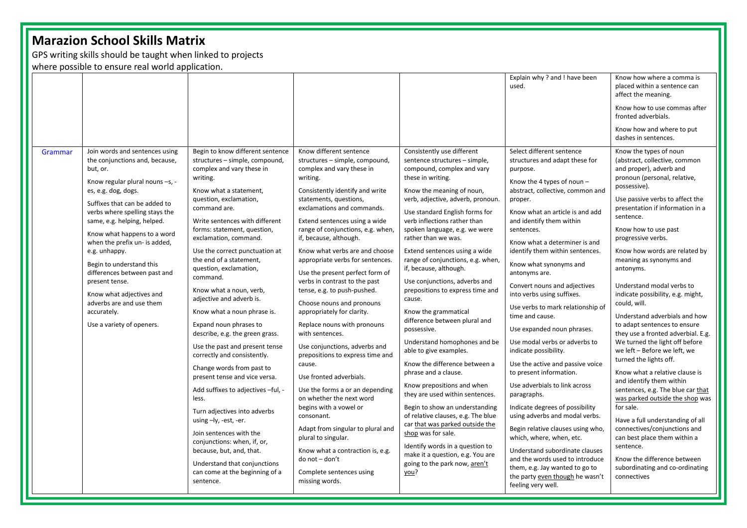# **Marazion School Skills Matrix**

GPS writing skills should be taught when linked to projects

where possible to ensure real world application.

|         |                                                                                                                                                                                                                                                                                                                                                                                                                                                                                                             |                                                                                                                                                                                                                                                                                                                                                                                                                                                                                                                                                                                                                                                                                                                                                                                                                                                                                                                                             |                                                                                                                                                                                                                                                                                                                                                                                                                                                                                                                                                                                                                                                                                                                                                                                                                                                                                                                                                                      |                                                                                                                                                                                                                                                                                                                                                                                                                                                                                                                                                                                                                                                                                                                                                                                                                                                                                                                                                                                                       | Explain why? and ! have been<br>used.                                                                                                                                                                                                                                                                                                                                                                                                                                                                                                                                                                                                                                                                                                                                                                                                                                                                                                                                               | Know how where a comma is<br>placed within a sentence can<br>affect the meaning.                                                                                                                                                                                                                                                                                                                                                                                                                                                                                                                                                                                                                                                                                                                                                                                                                                                                                                        |
|---------|-------------------------------------------------------------------------------------------------------------------------------------------------------------------------------------------------------------------------------------------------------------------------------------------------------------------------------------------------------------------------------------------------------------------------------------------------------------------------------------------------------------|---------------------------------------------------------------------------------------------------------------------------------------------------------------------------------------------------------------------------------------------------------------------------------------------------------------------------------------------------------------------------------------------------------------------------------------------------------------------------------------------------------------------------------------------------------------------------------------------------------------------------------------------------------------------------------------------------------------------------------------------------------------------------------------------------------------------------------------------------------------------------------------------------------------------------------------------|----------------------------------------------------------------------------------------------------------------------------------------------------------------------------------------------------------------------------------------------------------------------------------------------------------------------------------------------------------------------------------------------------------------------------------------------------------------------------------------------------------------------------------------------------------------------------------------------------------------------------------------------------------------------------------------------------------------------------------------------------------------------------------------------------------------------------------------------------------------------------------------------------------------------------------------------------------------------|-------------------------------------------------------------------------------------------------------------------------------------------------------------------------------------------------------------------------------------------------------------------------------------------------------------------------------------------------------------------------------------------------------------------------------------------------------------------------------------------------------------------------------------------------------------------------------------------------------------------------------------------------------------------------------------------------------------------------------------------------------------------------------------------------------------------------------------------------------------------------------------------------------------------------------------------------------------------------------------------------------|-------------------------------------------------------------------------------------------------------------------------------------------------------------------------------------------------------------------------------------------------------------------------------------------------------------------------------------------------------------------------------------------------------------------------------------------------------------------------------------------------------------------------------------------------------------------------------------------------------------------------------------------------------------------------------------------------------------------------------------------------------------------------------------------------------------------------------------------------------------------------------------------------------------------------------------------------------------------------------------|-----------------------------------------------------------------------------------------------------------------------------------------------------------------------------------------------------------------------------------------------------------------------------------------------------------------------------------------------------------------------------------------------------------------------------------------------------------------------------------------------------------------------------------------------------------------------------------------------------------------------------------------------------------------------------------------------------------------------------------------------------------------------------------------------------------------------------------------------------------------------------------------------------------------------------------------------------------------------------------------|
|         |                                                                                                                                                                                                                                                                                                                                                                                                                                                                                                             |                                                                                                                                                                                                                                                                                                                                                                                                                                                                                                                                                                                                                                                                                                                                                                                                                                                                                                                                             |                                                                                                                                                                                                                                                                                                                                                                                                                                                                                                                                                                                                                                                                                                                                                                                                                                                                                                                                                                      |                                                                                                                                                                                                                                                                                                                                                                                                                                                                                                                                                                                                                                                                                                                                                                                                                                                                                                                                                                                                       |                                                                                                                                                                                                                                                                                                                                                                                                                                                                                                                                                                                                                                                                                                                                                                                                                                                                                                                                                                                     | Know how to use commas after<br>fronted adverbials.                                                                                                                                                                                                                                                                                                                                                                                                                                                                                                                                                                                                                                                                                                                                                                                                                                                                                                                                     |
|         |                                                                                                                                                                                                                                                                                                                                                                                                                                                                                                             |                                                                                                                                                                                                                                                                                                                                                                                                                                                                                                                                                                                                                                                                                                                                                                                                                                                                                                                                             |                                                                                                                                                                                                                                                                                                                                                                                                                                                                                                                                                                                                                                                                                                                                                                                                                                                                                                                                                                      |                                                                                                                                                                                                                                                                                                                                                                                                                                                                                                                                                                                                                                                                                                                                                                                                                                                                                                                                                                                                       |                                                                                                                                                                                                                                                                                                                                                                                                                                                                                                                                                                                                                                                                                                                                                                                                                                                                                                                                                                                     | Know how and where to put<br>dashes in sentences.                                                                                                                                                                                                                                                                                                                                                                                                                                                                                                                                                                                                                                                                                                                                                                                                                                                                                                                                       |
| Grammar | Join words and sentences using<br>the conjunctions and, because,<br>but, or.<br>Know regular plural nouns -s, -<br>es, e.g. dog, dogs.<br>Suffixes that can be added to<br>verbs where spelling stays the<br>same, e.g. helping, helped.<br>Know what happens to a word<br>when the prefix un- is added,<br>e.g. unhappy.<br>Begin to understand this<br>differences between past and<br>present tense.<br>Know what adjectives and<br>adverbs are and use them<br>accurately.<br>Use a variety of openers. | Begin to know different sentence<br>structures - simple, compound,<br>complex and vary these in<br>writing.<br>Know what a statement,<br>question, exclamation,<br>command are.<br>Write sentences with different<br>forms: statement, question,<br>exclamation, command.<br>Use the correct punctuation at<br>the end of a statement,<br>question, exclamation,<br>command.<br>Know what a noun, verb,<br>adjective and adverb is.<br>Know what a noun phrase is.<br>Expand noun phrases to<br>describe, e.g. the green grass.<br>Use the past and present tense<br>correctly and consistently.<br>Change words from past to<br>present tense and vice versa.<br>Add suffixes to adjectives -ful, -<br>less.<br>Turn adjectives into adverbs<br>using -ly, -est, -er.<br>Join sentences with the<br>conjunctions: when, if, or,<br>because, but, and, that.<br>Understand that conjunctions<br>can come at the beginning of a<br>sentence. | Know different sentence<br>structures - simple, compound,<br>complex and vary these in<br>writing.<br>Consistently identify and write<br>statements, questions,<br>exclamations and commands.<br>Extend sentences using a wide<br>range of conjunctions, e.g. when,<br>if, because, although.<br>Know what verbs are and choose<br>appropriate verbs for sentences.<br>Use the present perfect form of<br>verbs in contrast to the past<br>tense, e.g. to push-pushed.<br>Choose nouns and pronouns<br>appropriately for clarity.<br>Replace nouns with pronouns<br>with sentences.<br>Use conjunctions, adverbs and<br>prepositions to express time and<br>cause.<br>Use fronted adverbials.<br>Use the forms a or an depending<br>on whether the next word<br>begins with a vowel or<br>consonant.<br>Adapt from singular to plural and<br>plural to singular.<br>Know what a contraction is, e.g.<br>do not - don't<br>Complete sentences using<br>missing words. | Consistently use different<br>sentence structures - simple,<br>compound, complex and vary<br>these in writing.<br>Know the meaning of noun,<br>verb, adjective, adverb, pronoun.<br>Use standard English forms for<br>verb inflections rather than<br>spoken language, e.g. we were<br>rather than we was.<br>Extend sentences using a wide<br>range of conjunctions, e.g. when<br>if, because, although.<br>Use conjunctions, adverbs and<br>prepositions to express time and<br>cause.<br>Know the grammatical<br>difference between plural and<br>possessive.<br>Understand homophones and be<br>able to give examples.<br>Know the difference between a<br>phrase and a clause.<br>Know prepositions and when<br>they are used within sentences.<br>Begin to show an understanding<br>of relative clauses, e.g. The blue<br>car that was parked outside the<br>shop was for sale.<br>Identify words in a question to<br>make it a question, e.g. You are<br>going to the park now, aren't<br>you? | Select different sentence<br>structures and adapt these for<br>purpose.<br>Know the 4 types of noun -<br>abstract, collective, common and<br>proper.<br>Know what an article is and add<br>and identify them within<br>sentences.<br>Know what a determiner is and<br>identify them within sentences.<br>Know what synonyms and<br>antonyms are.<br>Convert nouns and adjectives<br>into verbs using suffixes.<br>Use verbs to mark relationship of<br>time and cause.<br>Use expanded noun phrases.<br>Use modal verbs or adverbs to<br>indicate possibility.<br>Use the active and passive voice<br>to present information.<br>Use adverbials to link across<br>paragraphs.<br>Indicate degrees of possibility<br>using adverbs and modal verbs.<br>Begin relative clauses using who,<br>which, where, when, etc.<br>Understand subordinate clauses<br>and the words used to introduce<br>them, e.g. Jay wanted to go to<br>the party even though he wasn't<br>feeling very well. | Know the types of noun<br>(abstract, collective, common<br>and proper), adverb and<br>pronoun (personal, relative,<br>possessive).<br>Use passive verbs to affect the<br>presentation if information in a<br>sentence.<br>Know how to use past<br>progressive verbs.<br>Know how words are related by<br>meaning as synonyms and<br>antonyms.<br>Understand modal verbs to<br>indicate possibility, e.g. might,<br>could, will.<br>Understand adverbials and how<br>to adapt sentences to ensure<br>they use a fronted adverbial. E.g.<br>We turned the light off before<br>we left - Before we left, we<br>turned the lights off.<br>Know what a relative clause is<br>and identify them within<br>sentences, e.g. The blue car that<br>was parked outside the shop was<br>for sale.<br>Have a full understanding of all<br>connectives/conjunctions and<br>can best place them within a<br>sentence.<br>Know the difference between<br>subordinating and co-ordinating<br>connectives |